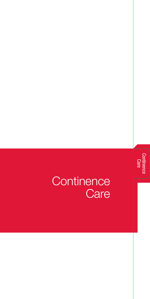

# **Continence Care**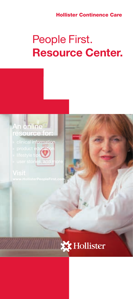### Hollister Continence Care

# People First. Resource Center.

# An online resource fo

- » clinical information
- » product education
- » lifestyle tips
- user stories, and more

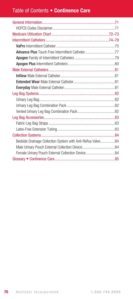## Table of Contents • Continence Care

| Bedside Drainage Collection System with Anti-Reflux Valve84 |
|-------------------------------------------------------------|
|                                                             |
|                                                             |
|                                                             |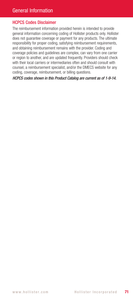#### HCPCS Codes Disclaimer

The reimbursement information provided herein is intended to provide general information concerning coding of Hollister products only. Hollister does not guarantee coverage or payment for any products. The ultimate responsibility for proper coding, satisfying reimbursement requirements, and obtaining reimbursement remains with the provider. Coding and coverage policies and guidelines are complex, can vary from one carrier or region to another, and are updated frequently. Providers should check with their local carriers or intermediaries often and should consult with counsel, a reimbursement specialist, and/or the DMECS website for any coding, coverage, reimbursement, or billing questions.

*HCPCS codes shown in this Product Catalog are current as of 1-9-14.*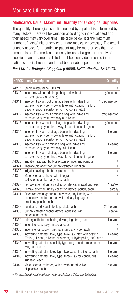## Medicare Utilization Chart

### Medicare's Usual Maximum Quantity for Urological Supplies

The quantity of urological supplies needed by a patient is determined by many factors. There will be variation according to individual need and their needs may vary over time. The table below lists the maximum number of items/units of service that are medically necessary. The actual quantity needed for a particular patient may be more or less than the amount listed. The medical necessity for use of a greater quantity of supplies than the amounts listed must be clearly documented in the patient's medical record, and must be available upon request.

#### *Per LCD for Urological Supplies (L5080), NHIC effective 12-15-13.*

| <b>HCPCS</b> | <b>Long Description</b>                                                                                                                                                 | Quantity         |
|--------------|-------------------------------------------------------------------------------------------------------------------------------------------------------------------------|------------------|
| A4217        | Sterile water/saline, 500 mL                                                                                                                                            |                  |
| A4310        | Insert tray without drainage bag and without<br>catheter (accessories only)                                                                                             | 1 tray/insertion |
| A4311        | Insertion tray without drainage bag with indwelling<br>catheter, foley type, two-way latex with coating (Teflon,<br>silicone, silicone elastomer, or hydrophilic, etc.) | 1 tray/insertion |
| A4312        | Insertion tray without drainage bag with indwelling<br>catheter, foley type, two-way all silicone                                                                       | 1 tray/insertion |
| A4313        | Insertion tray without drainage bag with indwelling<br>catheter, foley type, three-way, for continuous irrigation                                                       | 1 tray/insertion |
| A4314        | Insertion tray with drainage bag with indwelling<br>catheter, foley type, two-way latex with coating (Teflon,<br>silicone, silicone elastomer, or hydrophilic, etc.)    | $1$ ea/mo        |
| A4315        | Insertion tray with drainage bag with indwelling<br>catheter, foley type, two-way, all silicone                                                                         | 1 ea/mo          |
| A4316        | Insertion tray with drainage bag with indwelling<br>catheter, foley type, three-way, for continuous irrigation                                                          | 1 ea/mo          |
| A4320        | Irrigation tray with bulb or piston syringe, any purpose                                                                                                                | ⋇                |
| A4321        | Therapeutic agent for urinary catheter irrigation                                                                                                                       | $\ast$           |
| A4322        | Irrigation syringe, bulb, or piston, each                                                                                                                               | 米                |
| A4326        | Male external catheter with integral<br>collection chamber, any type, each                                                                                              | 米                |
| A4327        | Female external urinary collection device; meatal cup, each                                                                                                             | 1 ea/wk          |
| A4328        | Female external urinary collection device; pouch, each                                                                                                                  | 1 ea/day         |
| A4331        | Extension drainage tubing, any type, any length, with<br>connector/adapter, for use with urinary leg bag or<br>urostomy pouch, each                                     |                  |
| A4332        | Lubricant, individual sterile packet, each                                                                                                                              | $200$ ea/mo      |
| A4333        | Urinary catheter anchor device, adhesive skin<br>attachment, each                                                                                                       | 3 ea/wk          |
| A4334        | Urinary catheter anchoring device, leg strap, each                                                                                                                      | 1 ea/mo          |
| A4335        | Incontinence supply; miscellaneous                                                                                                                                      | ∗                |
| A4336        | Incontinence supply, urethral insert, any type, each                                                                                                                    | 字                |
| A4338        | Indwelling catheter; foley type, two-way latex with coating<br>(Teflon, silicone, silicone elastomer, or hydrophilic, etc.), each                                       | 1 ea/mo          |
| A4340        | Indwelling catheter; specialty type, (e.g., coudé, mushroom,<br>wing, etc.), each                                                                                       | 1 ea/mo          |
| A4344        | Indwelling catheter, foley type, two-way, all silicone, each                                                                                                            | 1 ea/mo          |
| A4346        | Indwelling catheter; foley type, three-way for continuous<br>irrigation, each                                                                                           | $1$ ea/mo        |
| A4349        | Male external catheter, with or without adhesive,<br>disposable, each                                                                                                   | 35 ea/mo         |

✳  *No established usual maximum, refer to Medicare Utilization Guidelines.*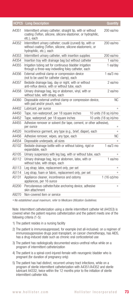|       | <b>HCPCS</b> Long Description                                                                                                                         | Quantity               |
|-------|-------------------------------------------------------------------------------------------------------------------------------------------------------|------------------------|
| A4351 | Intermittent urinary catheter; straight tip, with or without<br>coating (Teflon, silicone, silicone elastomer, or hydrophilic,<br>etc.), each         | $200$ ea/mo            |
| A4352 | Intermittent urinary catheter; coudé (curved) tip, with or<br>without coating (Teflon, silicone, silicone elastomeric, or<br>hydrophilic, etc.), each | $200$ ea/mo            |
| A4353 | Intermittent urinary catheter, with insertion supplies                                                                                                | $200$ ea/mo            |
| A4354 | Insertion tray with drainage bag but without catheter                                                                                                 | $1$ ea/mo              |
| A4355 | Irrigation tubing set for continuous bladder irrigation<br>through a three-way indwelling foley catheter, each                                        | 1 ea/dav               |
| A4356 | External urethral clamp or compression device<br>(not to be used for catheter clamp), each                                                            | $1$ ea/ $3$ mo         |
| A4357 | Bedside drainage bag, day or night, with or without<br>anti-reflux device, with or without tube, each                                                 | 2 ea/mo                |
| A4358 | Urinary drainage bag, leg or abdomen, vinyl, with or<br>without tube, with straps, each                                                               | 2 ea/mo                |
| A4360 | Disposable external urethral clamp or compression device,<br>with pad and/or pouch, each                                                              | NC.                    |
| A4402 | Lubricant, per ounce                                                                                                                                  | ⋇                      |
| A4450 | Tape, non-waterproof, per 18 square inches                                                                                                            | 10 units (18 sq in)/mo |
| A4452 | Tape, waterproof, per 18 square inches                                                                                                                | 10 units (18 sq in)/mo |
| A4455 | Adhesive remover or solvent (for tape, cement, or other adhesive),<br>per ounce                                                                       | ∗                      |
| A4520 | Incontinence garment, any type (e.g., brief, diaper), each                                                                                            | ⋇                      |
| A4456 | Adhesive remover, wipes, any type, each                                                                                                               | NС                     |
| A4554 | Disposable underpads, all sizes                                                                                                                       | sk.                    |
| A5102 | Bedside drainage bottle with or without tubing, rigid or<br>expandable, each                                                                          | 1 $ea/3 mo$            |
| A5105 | Urinary suspensory with leg bag, with or without tube, each                                                                                           | ∗                      |
| A5112 | Urinary drainage bag, leg or abdomen, latex, with or<br>without tube, with straps, each                                                               | 1 ea/mo                |
| A5113 | Leg strap; latex, replacement only, per set                                                                                                           | 米                      |
| A5114 | Leg strap, foam or fabric, replacement only, per set                                                                                                  | 字                      |
| A5131 | Appliance cleaner, incontinence and ostomy<br>appliances, per 16 ounce                                                                                | 1 (16 oz)/mo           |
| A5200 | Percutaneous catheter/tube anchoring device, adhesive<br>skin attachment                                                                              | ∗                      |
| A9270 | Non-covered item or service                                                                                                                           |                        |
|       |                                                                                                                                                       |                        |

✳  *No established usual maximum, refer to Medicare Utilization Guidelines.*

Note: Intermittent catheterization using a sterile intermittent catheter kit (A4353) is covered when the patient requires catheterization and the patient meets one of the following criteria (1-5):

- 1) The patient resides in a nursing facility
- 2) The patient is immunosuppressed, for example (not all-inclusive): on a regimen of immunossuppressive drugs post-transplant, on cancer chemotherapy, has AIDS, has a drug-induced state such as chronic oral corticosteriod use
- 3) The patient has radiologically documented vesico-urethral reflux while on a program of intermittent catheterization
- 4) The patient is a spinal-cord-injured-female with neurogenic bladder who is pregnant (for duration of pregnancy only)
- 5) The patient has had distinct, recurrent urinary tract infections, while on a program of sterile intermittent catheterization with A4351/A4352 and sterile lubricant A4332, twice within the 12 months prior to the initiation of sterile intermittent catheter kits.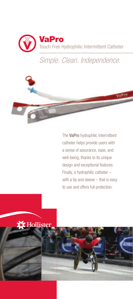

*Simple. Clean. Independence.*



The VaPro hydrophilic intermittent catheter helps provide users with a sense of assurance, ease, and well-being, thanks to its unique design and exceptional features. Finally, a hydrophilic catheter – with a tip and sleeve – that is easy to use and offers full protection.

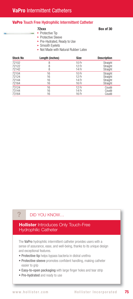#### VaPro Touch Free Hydrophilic Intermittent Catheter

72xxx Box of 30

- $\blacktriangleright$  Protective Tip
- **Protective Sleeve**
- ► Pre-Hydrated, Ready to Use
- ► Smooth Eyelets
- Not Made with Natural Rubber Latex

| <b>Stock No</b> | Length (inches) | <b>Size</b>      | <b>Description</b> |
|-----------------|-----------------|------------------|--------------------|
| 72102           | 8               | 10 <sub>Fr</sub> | Straight           |
| 72122           | 8               | 12 Fr            | Straight           |
| 72142           | 8               | 14 Fr            | Straight           |
| 72104           | 16              | 10 <sub>Fr</sub> | Straight           |
| 72124           | 16              | 12 Fr            | Straight           |
| 72144           | 16              | 14 Fr            | Straight           |
| 72164           | 16              | 16 Fr            | Straight           |
| 73124           | 16              | 12 Fr            | Coudé              |
| 73144           | 16              | 14 Fr            | Coudé              |
| 73164           | 16              | 16 Fr            | Coudé              |

#### DID YOU KNOW…

?

#### **Hollister** Introduces Only Touch-Free Hydrophilic Catheter

The VaPro hydrophilic intermittent catheter provides users with a sense of assurance, ease, and well-being, thanks to its unique design and exceptional features.

- Protective tip helps bypass bacteria in distral urethra
- Protective sleeve promotes confident handling, making catheter easier to grip
- Easy-to-open packaging with large finger holes and tear strip
- Pre-hydrated and ready to use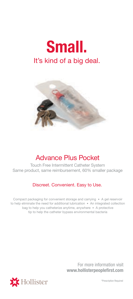



# Advance Plus Pocket

Touch Free Intermittent Catheter System Same product, same reimbursement, 60% smaller package

### Discreet. Convenient. Easy to Use.

Compact packaging for convenient storage and carrying • A gel reservoir to help eliminate the need for additional lubrication • An integrated collection bag to help you catheterize anytime, anywhere • A protective tip to help the catheter bypass environmental bacteria

> For more information visit www.hollisterpeoplefirst.com



\*Prescription Required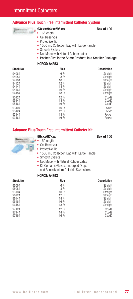#### Advance Plus Touch Free Intermittent Catheter System



#### 93xxx/94xxx/95xxx Box of 100

► 16" length

- 
- ► Gel Reservoir
- $\blacktriangleright$  Protective Tip
- ▶ 1500 mL Collection Bag with Large Handle
- ► Smooth Eyelets
- ► Not Made with Natural Rubber Latex
- ▶ Pocket Size is the Same Product, in a Smaller Package

#### HCPCS: A4353

| <b>Stock No</b> | <b>Size</b> | <b>Description</b> |
|-----------------|-------------|--------------------|
| 94064           | 6 Fr        | Straight           |
| 94084           | 8 Fr        | Straight           |
| 94104           | 10 Fr       | Straight           |
| 94124           | 12 Fr       | Straight           |
| 94144           | 14 Fr       | Straight           |
| 94164           | 16 Fr       | Straight           |
| 94184           | 18 Fr       | Straight           |
| 95124           | 12 Fr       | Coudé              |
| 95144           | 14 Fr       | Coudé              |
| 95164           | 16 Fr       | Coudé              |
| 93104           | 10 Fr       | Pocket             |
| 93124           | 12 Fr       | Pocket             |
| 93144           | 14 Fr       | Pocket             |
| 93164           | 16 Fr       | Pocket             |

#### **Advance Plus Touch Free Intermittent Catheter Kit**

#### 96xxx/97xxx Box of 100



- $\cdot$  16" length
	- Gel Reservoir
	- $\blacktriangleright$  Protective Tip
	- ▶ 1500 mL Collection Bag with Large Handle
	- ► Smooth Eyelets
	- ► Not Made with Natural Rubber Latex
	- $\blacktriangleright$  Kit Contains Gloves, Underpad Drape, and Benzalkonium Chloride Swabsticks

#### HCPCS: A4353

| <b>Stock No</b> | <b>Size</b> | <b>Description</b> |
|-----------------|-------------|--------------------|
| 96064           | 6 Fr        | Straight           |
| 96084           | 8 Fr        | Straight           |
| 96104           | 10 Fr       | Straight           |
| 96124           | 12 Fr       | Straight           |
| 96144           | 14 Fr       | Straight           |
| 96164           | 16 Fr       | Straight           |
| 96184           | 18 Fr       | Straight           |
| 97124           | 12 Fr       | Coudé              |
| 97144           | 14 Fr       | Coudé              |
| 97164           | 16 Fr       | Coudé              |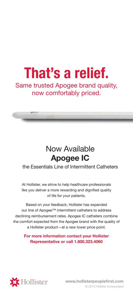# That's a relief.

Same trusted Apogee brand quality, now comfortably priced.



# Now Available Apogee IC

the Essentials Line of Intermittent Catheters

At Hollister, we strive to help healthcare professionals like you deliver a more rewarding and dignified quality of life for your patients.

Based on your feedback, Hollister has expanded our line of Apogee™ intermittent catheters to address declining reimbursement rates. Apogee IC catheters combine the comfort expected from the Apogee brand with the quality of a Hollister product—at a new lower price point.

### For more information contact your Hollister Representative or call 1.800.323.4060



 www.hollisterpeoplefirst.com © 2013 Hollister Incorporated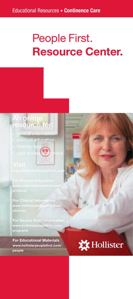# People First. Resource Center.

# An online resource for:

- » clinical information
- product education<br>
lifestyle tips
- » lifestyle tips
- » user stories, and more

products

For Clinical Information www.hollisterpeoplefirst.com/ clinician

For Secure Start Information www.hollisterpeoplefirst.com/ programs

For Educational Materials www.hollisterpeoplefirst.com/ people

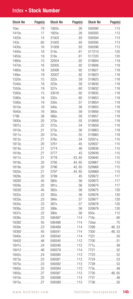# Index • Stock Number

| Stock No                            | Page(s) | <b>Stock No</b>                    | Page(s) | Stock No      | Page(s) |
|-------------------------------------|---------|------------------------------------|---------|---------------|---------|
| $10x$ 79                            |         | 1920x. 26                          |         | $509390$ 113  |         |
| $1410x$ 17                          |         | 1925x. 28                          |         | $509393$ 113  |         |
| $1420x$ 15                          |         |                                    |         | $509394$ 113  |         |
| $143x.$ 60                          |         |                                    |         | $509395$ 113  |         |
| $1430x$ 16                          |         |                                    |         | $509396$ 113  |         |
| $1440x$ 18                          |         | $314x$ 61                          |         | 517210120     |         |
| $1450x$ 19                          |         | $318x. \ldots. \ldots. \ldots. 61$ |         | 517220120     |         |
| $1460x$ 15                          |         | $32004$ 92                         |         | $519904$ 119  |         |
| $1470x$ 16                          |         | 3200592                            |         | $519906$ 119  |         |
| $1480x$ 18                          |         |                                    |         | 519921118     |         |
| $149x$ , 19                         |         | 3200792                            |         | 519923118     |         |
|                                     |         |                                    |         | 519925118     |         |
| $1520x$ 15                          |         | $322x$ 59                          |         | $519930$ 118  |         |
| $1540x$ 18                          |         | $323x.$ 59                         |         |               |         |
| $1550x$ 19                          |         | $327x$ 60                          |         | $519932$ 118  |         |
| $1560x.$ 15                         |         |                                    |         | 519935118     |         |
| $1580x$ 18                          |         | $332x.$ 60                         |         | 519953118     |         |
| $1590x$ 19                          |         | $334x$ 57                          |         | 519954118     |         |
| $1610x$ 16                          |         | $340x$ 58                          |         | 519955118     |         |
| $1640x$ 16                          |         | $360x.$ 59                         |         | $519956$ 118  |         |
| $1796$ 38                           |         | $366x$ 59                          |         | 519957118     |         |
| $1800x$ 20                          |         | $370x$ 55                          |         | 519958118     |         |
| $1801x.$ 22                         |         | $372x.$ 54                         |         | $519959$ 118  |         |
| $1810x$ 21                          |         | $373x$ 56                          |         | $519963$ 118  |         |
| $1811x$ . 20                        |         | $374x$ 55                          |         | 519965118     |         |
| $1812x. \ldots. \ldots. 21$         |         | $376x.$ 54                         |         | $52931x.$ 110 |         |
| $1813x$ 20                          |         | $3761$ 45                          |         | 529937115     |         |
| $1814x$ 21                          |         | $3774$ 46                          |         | 529938115     |         |
| $1816x$ 21                          |         | $3777$ 43                          |         | $529939$ 115  |         |
| $1817x$ 21                          |         | $3778$ 43, 65                      |         | $529940$ 115  |         |
| $1818x$ 20                          |         | 379544,65                          |         | 529967115     |         |
| $1819x$ 20                          |         | $3796$ 43,65                       |         | $529968$ 115  |         |
| $1820x.$ 21                         |         | 379744,65                          |         | $529969$ 115  |         |
| $1828x$ 20                          |         | $3799$ 45                          |         | $529972$ 117  |         |
| $18282$ 45                          |         | $380x.$ 56                         |         | 529973117     |         |
| $1829x$ 20                          |         | $381x$ 56                          |         | $529974$ 117  |         |
| 1829215                             |         | $382x$ 58                          |         | 529975120     |         |
| $1832x$ 22                          |         | 383x. 56                           |         | 529976120     |         |
| 1833x. 23                           |         | $384x$ 57                          |         | 529977120     |         |
| $1835x$ 23                          |         | $387x$ 57                          |         | 529978120     |         |
| $1836x$ 22                          |         | $389x.$ 56                         |         | 529979120     |         |
| $1837x$ 22                          |         | $390x.$ 58                         |         | $550x$ 112    |         |
| $1838x$ 23                          |         | 506487114                          |         | $716x.$ 60    |         |
| $18382$ 45                          |         | 506488114                          |         | 72xxx 75      |         |
| $1839x$ 23                          |         | 506489 114                         |         | $7299$ 48.53  |         |
| $18392$ 45                          |         | 509341114                          |         | $7300$ 48, 53 |         |
| $1840x.$ 24                         |         | 509342114                          |         | 7331 50       |         |
| 1840246                             |         | 509345                             | . 112   | $7700$ 51     |         |
| $1841x. \ldots. \ldots. \ldots. 24$ |         | $509346$ 112                       |         | 771x49        |         |
| $18412$ 46                          |         | $509379$ 114                       |         | 7721 52       |         |
| $1842x.$ 24                         |         | 509380113                          |         | 7723 52       |         |
| $1873x$ 23                          |         | 509381113                          |         | 7724 53       |         |
| $1875x$ 23                          |         | 509382113                          |         | 7728 53       |         |
| $1900x.$ 25                         |         | 509384113                          |         | 773x. 49      |         |
| $1905x$ 27                          |         | 509387113                          |         | $7730$ 48,65  |         |
| $1910x.$ 25                         |         | 509388113                          |         | 7731 48       |         |
| $1915x.$ 27                         |         | 509389113                          |         | $7736$ 50     |         |
|                                     |         |                                    |         |               |         |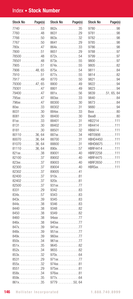# Index • Stock Number

| Stock No | Page(s)         | Stock I      |
|----------|-----------------|--------------|
|          | $7740$ 53       | 862x.        |
|          | 7760 48         | 8631.        |
|          | 7766 50         | 863x.        |
| 7767     | . 50            | 8641         |
|          | 780x. 47        | 864x.        |
|          | 7800 51         | 8651.        |
|          | 78500 48        | 872x.        |
| 78501    | . 48            | 873x.        |
| 7905     | . 51            | 874x.        |
|          | 790648,65       | 875x.        |
|          |                 | 877x.        |
|          | 7910 51         |              |
| 7917     | . 49            | 8770.        |
|          | 79300 47, 65    | 8800<br>l,   |
| 79301    | . 47            | 8801<br>l,   |
|          | 79400 47        | 881x.        |
|          | 795xx47         | 883xx.       |
|          | 796xx47         | 88300        |
|          | 80xx33          | 88302        |
|          | 8031 30         | 884xx.       |
| 8081     | . 30            | 88400        |
|          | 81xx33          | 88401        |
| 8131     | . 30            | 88402        |
| 8181     | . 30            | 88501        |
|          | 8011036,64      | 887xx.       |
|          | 8007036,64      | 88700        |
|          | 8107036,64      | 88800        |
|          | 8111036,64      | 890x.        |
|          | 821xx38         | 89001        |
|          | 82100 37        | 89002        |
|          | 823xx37         | 89003        |
|          | 82300 37        | 89004        |
|          | 82302 37        | 89005        |
| 82400    | .37             | 910x.        |
|          | $82402$ 37      | 920x.        |
|          | 82500 37        | 931xx.       |
| 8331     | .29             | 9342.        |
|          | .57             |              |
| 834x.    |                 | 9343<br>9345 |
|          | 843x. 39<br>.38 | l,           |
| 844x.    |                 | 9346.        |
|          | 8440 38         | 9348<br>l,   |
| 8450     | .38             | 9349         |
| 8460     | .38             | 94xxx.       |
| 846x.    | .38             | 940xx.       |
|          | 847x39          | 941xx.       |
|          | 848x. 39        | 951xx.       |
|          | 849x. 39        | 960xx.       |
|          | 850x. 34        | 961xx.       |
|          | 851x. 35        | 9645<br>l,   |
|          | 852x. 34        | 9655         |
|          | 853x. 32        | 970x.        |
| 8531     | .29             | 971xx.       |
|          | 855x. 32        | 974xx.       |
| 8551     | . 29            | 975xx.       |
|          | 858x. 34        | 976xx.       |
|          | 859x. 35        | 977x. .      |
|          | 861x. 35        | 9779.        |

| Stock                        | No                   |    |          |                      |                      |    |    |                      |                      |                      | Page(s)  |
|------------------------------|----------------------|----|----------|----------------------|----------------------|----|----|----------------------|----------------------|----------------------|----------|
| 862x.<br>l                   | ï                    | ֦  |          |                      |                      |    | ֦  |                      |                      |                      | .35      |
| 8631                         | l                    |    |          |                      |                      |    | l  |                      |                      | l                    | .29      |
| 863x.                        |                      | ֦  |          |                      |                      | ֦  |    |                      |                      |                      | .32      |
| l                            |                      |    |          |                      |                      |    |    |                      |                      |                      |          |
| 8641                         |                      |    |          |                      |                      |    |    |                      |                      |                      | 29       |
| 864x.                        | ֦                    | ï  | ï        | l                    | l                    | ֦  | ֦  |                      |                      | l                    | .33      |
| 8651                         |                      |    |          |                      |                      |    |    |                      |                      |                      | 29       |
| 872x.                        |                      |    |          |                      |                      |    |    |                      |                      |                      | 54<br>l, |
| 873x.                        | ֦                    | ï  | ï        | l                    | l                    | ï  | ֦  |                      |                      |                      | 55<br>l, |
| 874x.                        |                      |    |          |                      |                      |    |    |                      |                      |                      | 55       |
| 875x.                        |                      |    |          |                      |                      |    |    |                      |                      |                      | 54       |
| 877x.                        | ï                    | ï  | ï        | l                    | l                    | ï  | ֦  |                      |                      | l                    | 55<br>l  |
| 8770                         |                      |    |          |                      |                      |    |    |                      |                      |                      | .50      |
| 8800                         |                      |    |          |                      |                      |    |    |                      |                      |                      | .49      |
| 8801                         |                      |    |          |                      |                      |    |    |                      |                      |                      | .49      |
| 881x.                        | ֦                    | ֦  | l        | l                    | l                    | ï  | ֦  |                      |                      | ï                    | .56      |
|                              |                      |    |          |                      |                      |    |    |                      |                      |                      | .33      |
| 883xx                        |                      |    |          |                      |                      |    |    |                      |                      |                      |          |
| 88300                        | ֦                    | ֦  | l        | l                    | l                    | ï  | ֦  |                      |                      | l                    | .30      |
| 88302                        |                      |    |          |                      |                      |    |    |                      |                      |                      | 31       |
| 884xx                        |                      |    |          |                      |                      |    |    |                      |                      |                      | .33      |
| 88400                        | ֦                    | ֦  |          | l                    | l                    | ï  | ֦  |                      |                      | l                    | .30      |
| 88401                        |                      |    |          |                      |                      |    |    |                      |                      |                      | 31       |
| 88402                        |                      |    |          |                      |                      |    |    |                      |                      |                      | .31      |
| 88501                        | ֦                    | ֦  | l        | l                    | l                    | ï  | ֦  |                      |                      | l                    | .32      |
| 887xx                        |                      |    |          |                      |                      |    |    |                      |                      |                      | 34       |
| 88700                        | ï                    |    |          |                      |                      |    |    |                      |                      |                      | .31      |
|                              |                      |    |          |                      |                      |    |    |                      |                      |                      | .31      |
| 88800                        | ֦                    | ֦  |          | l                    | l                    | ï  | ֦  |                      |                      | ï                    |          |
| 890x.                        | ï                    |    |          |                      |                      |    |    |                      |                      |                      | .57      |
| 89001                        |                      |    |          |                      |                      |    |    |                      |                      |                      | .40      |
| 89002                        | ֦                    | ֦  | l        | l                    | l                    | ï  | ֦  |                      |                      |                      | .40      |
| 89003                        |                      |    |          |                      |                      |    |    |                      |                      |                      | .40      |
| 89004                        |                      |    |          |                      |                      |    |    |                      |                      |                      | .40      |
| 89005                        | l                    | ֦  |          | l                    | l                    | ï  | ֦  |                      |                      | ï                    | .41      |
| 910x.                        |                      |    |          |                      |                      |    |    | l                    |                      |                      | .81      |
| 920x.                        |                      |    |          |                      |                      |    |    |                      |                      |                      | .81      |
| 931xx<br>ï                   | ï                    | ï  | ï        | l                    | l                    | ï  | ֦  | l                    |                      |                      | .77      |
| 9342                         |                      |    |          |                      |                      |    |    |                      |                      |                      | .83      |
| 9343                         |                      |    |          |                      |                      |    |    |                      |                      |                      | .83      |
|                              |                      |    |          |                      |                      |    |    |                      |                      |                      |          |
| 9345                         | ï                    | ï  | ï        | l                    | l                    | ï  | ֦  |                      |                      |                      | .83      |
| 9346                         |                      |    |          |                      |                      |    | ï  | l                    |                      |                      | .83      |
| 9348                         |                      |    |          |                      |                      |    |    |                      |                      |                      | .82      |
| 9349<br>ï                    | ï                    | ï  | ï        | l                    | l                    | ï  | ֦  | l                    | ï                    | ï                    | 82<br>l, |
| 94xxx                        |                      |    |          |                      |                      |    |    |                      |                      |                      | 77       |
| 940xx                        |                      |    |          |                      |                      |    |    |                      |                      |                      | 77       |
| 941xx.                       | $\ddot{\phantom{a}}$ |    |          |                      | $\ddot{\phantom{0}}$ |    |    |                      |                      |                      | .77      |
| 951xx                        |                      | l, |          |                      |                      |    | ,  | ł.                   |                      | l,                   | .77      |
| 960xx.                       | l,                   | l, | Ĭ.       | l,                   | l                    | l, | Į, |                      | $\ddot{\phantom{0}}$ | l,                   | .77      |
| 961xx.                       |                      |    |          |                      |                      |    |    |                      |                      |                      | .77      |
|                              | Į,                   |    |          |                      |                      |    |    | ,                    |                      |                      |          |
| 9645<br>l                    | l,                   | l, | Ĭ.       |                      |                      |    |    |                      |                      | $\ddot{\phantom{0}}$ | .82      |
| 9655<br>$\ddot{\phantom{a}}$ | l,                   | l, | l.       | l                    | l                    | l  | l  | Ĭ.                   | $\ddot{\phantom{0}}$ | l                    | .82      |
| 970x                         | $\ddot{\phantom{0}}$ |    |          |                      |                      |    |    |                      |                      | $\ddot{\phantom{0}}$ | .64      |
| 971xx.                       | l,                   | l, | Ĭ.       |                      |                      |    |    |                      |                      | l,                   | .77      |
| 974xx.                       | l,                   | l, | Ĭ.       | l,                   | $\ddot{\phantom{a}}$ |    | l, | $\ddot{\phantom{0}}$ | $\ddot{\phantom{0}}$ | l,                   | . 81     |
| 975xx.                       | $\ddot{\phantom{0}}$ |    | l,       | $\ddot{\phantom{0}}$ | l,                   |    |    | $\ddot{\phantom{0}}$ | $\ddot{\phantom{0}}$ |                      | .81      |
| 976xx.                       | l,                   |    | $\cdots$ |                      | $\tau$ , $\tau$ ,    |    |    |                      |                      | $\ddot{\phantom{0}}$ | .81      |
| 977x.                        | l.                   |    | $\cdots$ |                      | $\ldots$             |    |    | $\ddot{\phantom{0}}$ | Ĭ.                   |                      | .64      |
| 977950,64                    |                      |    |          |                      |                      |    |    |                      |                      |                      |          |

| Stock No        |  |  |  |  |  |  | Page(s)               |
|-----------------|--|--|--|--|--|--|-----------------------|
| 9780            |  |  |  |  |  |  | . 98                  |
| 9781            |  |  |  |  |  |  | . 98                  |
| 9782            |  |  |  |  |  |  | . 98                  |
| 9785            |  |  |  |  |  |  | . 98                  |
| 9786            |  |  |  |  |  |  | . 98                  |
| 9788            |  |  |  |  |  |  | . 97                  |
| 9799            |  |  |  |  |  |  | . 97                  |
| 9800            |  |  |  |  |  |  | . 97                  |
| 9805            |  |  |  |  |  |  | . 82                  |
| 9811            |  |  |  |  |  |  | . 84                  |
| 9814            |  |  |  |  |  |  | . 82                  |
| 9821            |  |  |  |  |  |  | . 94                  |
| 9822            |  |  |  |  |  |  | . 94                  |
| 9823            |  |  |  |  |  |  | . 94                  |
| 9839            |  |  |  |  |  |  | $\ldots 51, 65, 84$   |
| 9840            |  |  |  |  |  |  | . 84                  |
| 9873            |  |  |  |  |  |  | . 84                  |
| 9880.           |  |  |  |  |  |  | . 94                  |
| Bxxx 80         |  |  |  |  |  |  |                       |
| BxxxB 80        |  |  |  |  |  |  |                       |
| HB2214 111      |  |  |  |  |  |  |                       |
| HB4414 111      |  |  |  |  |  |  |                       |
| HB6614 111      |  |  |  |  |  |  |                       |
| HBT0906 111     |  |  |  |  |  |  |                       |
| HBHD4450111     |  |  |  |  |  |  |                       |
| HBHD6675111     |  |  |  |  |  |  |                       |
| <b>HBRF4414</b> |  |  |  |  |  |  | . 111                 |
| <b>HBRF2258</b> |  |  |  |  |  |  | . 111                 |
| <b>HBRF4475</b> |  |  |  |  |  |  | . 111                 |
| HBRF2650        |  |  |  |  |  |  | $\ldots \ldots$ . 111 |
| HBRSxx111       |  |  |  |  |  |  |                       |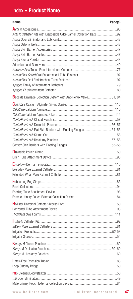## Index • Product Name

| Name                                                               | Page(s) |
|--------------------------------------------------------------------|---------|
|                                                                    |         |
| ActiFlo Catheter Kits with Disposable Odor-Barrier Collection Bags |         |
|                                                                    |         |
|                                                                    |         |
|                                                                    |         |
|                                                                    |         |
|                                                                    |         |
|                                                                    |         |
|                                                                    |         |
|                                                                    |         |
|                                                                    |         |
|                                                                    |         |
| Bedside Drainage Collection System with Anti-Reflux Valve 51, 84   |         |
|                                                                    |         |
|                                                                    |         |
|                                                                    |         |
|                                                                    |         |
|                                                                    |         |
| CenterPointLock Flat Skin Barriers with Floating Flanges 54-55     |         |
|                                                                    |         |
|                                                                    |         |
|                                                                    |         |
|                                                                    |         |
|                                                                    |         |
|                                                                    |         |
|                                                                    |         |
|                                                                    |         |
|                                                                    |         |
|                                                                    |         |
|                                                                    |         |
|                                                                    |         |
|                                                                    |         |
|                                                                    |         |
|                                                                    |         |
|                                                                    | 81      |
|                                                                    |         |
|                                                                    |         |
|                                                                    |         |
|                                                                    |         |
|                                                                    |         |
|                                                                    |         |
|                                                                    |         |
|                                                                    |         |
|                                                                    |         |
|                                                                    |         |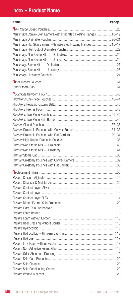## Index • Product Name

| Name                                                                   | Page(s) |
|------------------------------------------------------------------------|---------|
|                                                                        |         |
| New Image Convex Skin Barriers with Integrated Floating Flanges  18-19 |         |
|                                                                        |         |
| New Image Flat Skin Barriers with Integrated Floating Flanges 15-17    |         |
|                                                                        |         |
|                                                                        |         |
|                                                                        |         |
|                                                                        |         |
|                                                                        |         |
|                                                                        |         |
|                                                                        |         |
|                                                                        |         |
|                                                                        |         |
|                                                                        |         |
|                                                                        |         |
|                                                                        |         |
|                                                                        |         |
|                                                                        |         |
|                                                                        |         |
|                                                                        |         |
|                                                                        |         |
|                                                                        |         |
|                                                                        |         |
|                                                                        |         |
|                                                                        |         |
|                                                                        |         |
|                                                                        |         |
|                                                                        |         |
|                                                                        |         |
|                                                                        |         |
|                                                                        |         |
|                                                                        |         |
|                                                                        |         |
|                                                                        |         |
|                                                                        |         |
|                                                                        |         |
|                                                                        |         |
|                                                                        |         |
|                                                                        |         |
|                                                                        |         |
|                                                                        |         |
|                                                                        |         |
|                                                                        |         |
|                                                                        |         |
|                                                                        |         |
|                                                                        |         |
|                                                                        |         |
|                                                                        |         |
|                                                                        |         |
|                                                                        |         |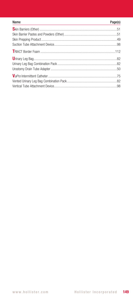| Name | Page(s) |
|------|---------|
|      |         |
|      |         |
|      |         |
|      |         |
|      |         |
|      |         |
|      |         |
|      |         |
|      |         |
|      |         |
|      |         |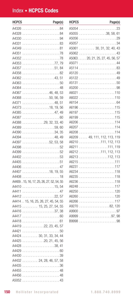# Index • HCPCS Codes

| <b>HCPCS</b>                            | Page(s) | HCPCS | Page(s)                          |
|-----------------------------------------|---------|-------|----------------------------------|
|                                         |         |       |                                  |
|                                         |         |       | A5055 38, 58, 61                 |
|                                         |         |       |                                  |
|                                         |         |       |                                  |
|                                         |         |       | A5061 30, 31, 32, 40, 43         |
|                                         |         |       |                                  |
|                                         |         |       | A5063 20, 21, 25, 27, 45, 56, 57 |
|                                         |         |       |                                  |
|                                         |         |       |                                  |
|                                         |         |       |                                  |
|                                         |         |       |                                  |
|                                         |         |       |                                  |
|                                         |         |       |                                  |
| A4367 46, 48, 53                        |         |       |                                  |
| A4368 50, 56, 59                        |         |       |                                  |
|                                         |         |       |                                  |
| A4373 18, 19, 56                        |         |       |                                  |
|                                         |         |       |                                  |
|                                         |         |       |                                  |
| A4388 29, 32, 33, 40                    |         |       |                                  |
|                                         |         |       |                                  |
|                                         |         |       |                                  |
|                                         |         |       | A6209 49, 111, 112, 113, 119     |
| A4397 52, 53, 58                        |         |       | A6210 111, 112, 113              |
|                                         |         |       | A6211 111, 119                   |
|                                         |         |       | A6212 111, 112, 113              |
|                                         |         |       | A6213 112, 113                   |
|                                         |         |       |                                  |
|                                         |         |       |                                  |
| A4407 18, 19, 55                        |         |       |                                  |
|                                         |         |       |                                  |
| A440915, 16, 17, 25, 26, 27, 52, 54, 55 |         |       |                                  |
|                                         |         |       |                                  |
|                                         |         |       |                                  |
|                                         |         |       |                                  |
| A4414 15, 16, 25, 26, 27, 45, 54, 55    |         |       |                                  |
| A4415 15, 25, 27, 54, 55                |         |       | A9270 82, 120                    |
|                                         |         |       |                                  |
|                                         |         |       |                                  |
|                                         |         |       |                                  |
| A4419 22, 23, 45, 57                    |         |       |                                  |
|                                         |         |       |                                  |
| A4424 30, 31, 33, 34, 44                |         |       |                                  |
| A4425 20, 21, 45, 56                    |         |       |                                  |
|                                         |         |       |                                  |
|                                         |         |       |                                  |
|                                         |         |       |                                  |
| A4432 24, 28, 46, 57, 58                |         |       |                                  |
|                                         |         |       |                                  |
|                                         |         |       |                                  |
|                                         |         |       |                                  |
|                                         |         |       |                                  |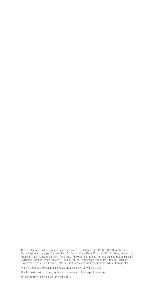The Hollister logo, Hollister, ActiFlo, Adapt, Advance Plus, Advance Plus Pocket, AF300, AnchorFast, AnchorFast Guard, Apogee, Apogee Plus, C3 Life, CalciCare, CenterPointLock, ComfortWear, ConnectEd,<br>Extended Wear, Everyday, Flextend, Flextend M, FlexWear, FormaFlex, "Hollister Ostomy. Details Matter",<br>HolliHesive, Insta QuietWear, Restore, Secure Start, SoftFlex, Triact, and VaPro are trademarks of Hollister Incorporated.

Hydrofera Blue and Hydrofera Blue Ready are trademarks of Hydrofera LLC.

All other trademarks and copyrights are the property of their respective owners.

© 2014 Hollister Incorporated. Printed in USA.